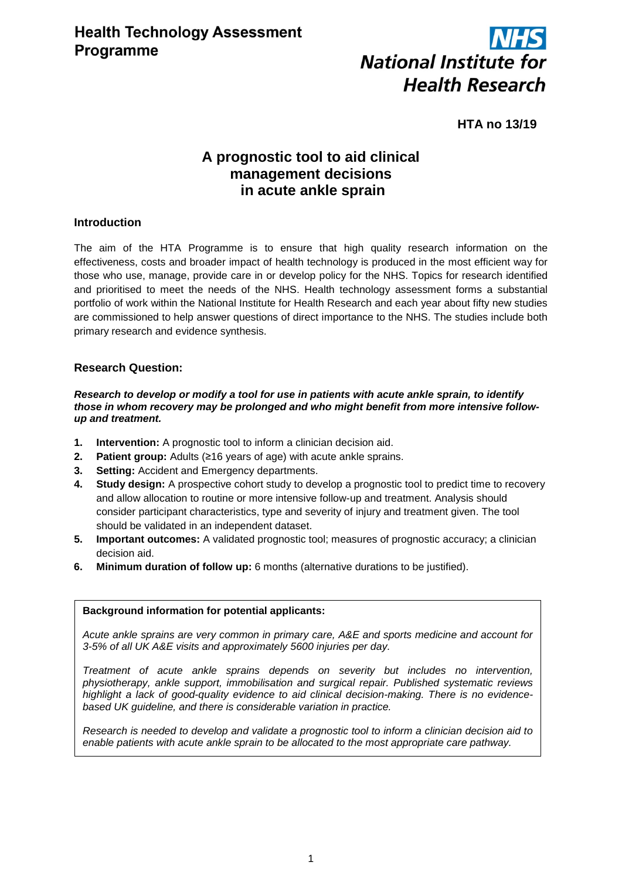

# **HTA no 13/19**

# **A prognostic tool to aid clinical management decisions in acute ankle sprain**

## **Introduction**

The aim of the HTA Programme is to ensure that high quality research information on the effectiveness, costs and broader impact of health technology is produced in the most efficient way for those who use, manage, provide care in or develop policy for the NHS. Topics for research identified and prioritised to meet the needs of the NHS. Health technology assessment forms a substantial portfolio of work within the National Institute for Health Research and each year about fifty new studies are commissioned to help answer questions of direct importance to the NHS. The studies include both primary research and evidence synthesis.

## **Research Question:**

#### *Research to develop or modify a tool for use in patients with acute ankle sprain, to identify those in whom recovery may be prolonged and who might benefit from more intensive followup and treatment.*

- **1. Intervention:** A prognostic tool to inform a clinician decision aid.
- **2. Patient group:** Adults (≥16 years of age) with acute ankle sprains.
- **3. Setting:** Accident and Emergency departments.
- **4. Study design:** A prospective cohort study to develop a prognostic tool to predict time to recovery and allow allocation to routine or more intensive follow-up and treatment. Analysis should consider participant characteristics, type and severity of injury and treatment given. The tool should be validated in an independent dataset.
- **5. Important outcomes:** A validated prognostic tool; measures of prognostic accuracy; a clinician decision aid.
- **6. Minimum duration of follow up:** 6 months (alternative durations to be justified).

#### **Background information for potential applicants:**

*Acute ankle sprains are very common in primary care, A&E and sports medicine and account for 3-5% of all UK A&E visits and approximately 5600 injuries per day.*

*Treatment of acute ankle sprains depends on severity but includes no intervention, physiotherapy, ankle support, immobilisation and surgical repair. Published systematic reviews highlight a lack of good-quality evidence to aid clinical decision-making. There is no evidencebased UK guideline, and there is considerable variation in practice.*

*Research is needed to develop and validate a prognostic tool to inform a clinician decision aid to enable patients with acute ankle sprain to be allocated to the most appropriate care pathway.*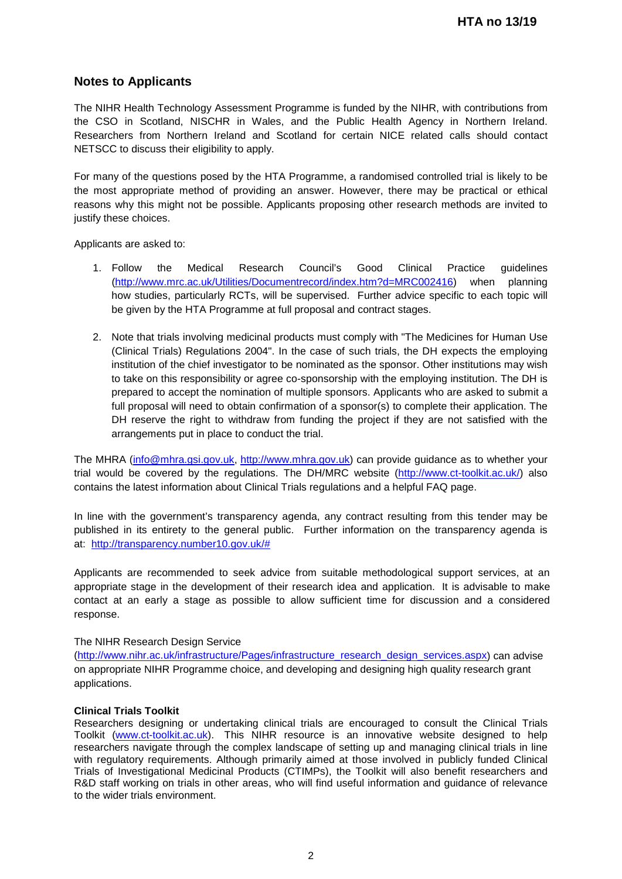## **Notes to Applicants**

The NIHR Health Technology Assessment Programme is funded by the NIHR, with contributions from the CSO in Scotland, NISCHR in Wales, and the Public Health Agency in Northern Ireland. Researchers from Northern Ireland and Scotland for certain NICE related calls should contact NETSCC to discuss their eligibility to apply.

For many of the questions posed by the HTA Programme, a randomised controlled trial is likely to be the most appropriate method of providing an answer. However, there may be practical or ethical reasons why this might not be possible. Applicants proposing other research methods are invited to justify these choices.

Applicants are asked to:

- 1. Follow the Medical Research Council's Good Clinical Practice guidelines [\(http://www.mrc.ac.uk/Utilities/Documentrecord/index.htm?d=MRC002416\)](http://www.mrc.ac.uk/Utilities/Documentrecord/index.htm?d=MRC002416) when planning how studies, particularly RCTs, will be supervised. Further advice specific to each topic will be given by the HTA Programme at full proposal and contract stages.
- 2. Note that trials involving medicinal products must comply with "The Medicines for Human Use (Clinical Trials) Regulations 2004". In the case of such trials, the DH expects the employing institution of the chief investigator to be nominated as the sponsor. Other institutions may wish to take on this responsibility or agree co-sponsorship with the employing institution. The DH is prepared to accept the nomination of multiple sponsors. Applicants who are asked to submit a full proposal will need to obtain confirmation of a sponsor(s) to complete their application. The DH reserve the right to withdraw from funding the project if they are not satisfied with the arrangements put in place to conduct the trial.

The MHRA [\(info@mhra.gsi.gov.uk,](mailto:info@mhra.gsi.gov.uk) [http://www.mhra.gov.uk\)](http://www.mhra.gov.uk/) can provide guidance as to whether your trial would be covered by the regulations. The DH/MRC website [\(http://www.ct-toolkit.ac.uk/\)](http://www.ct-toolkit.ac.uk/) also contains the latest information about Clinical Trials regulations and a helpful FAQ page.

In line with the government's transparency agenda, any contract resulting from this tender may be published in its entirety to the general public. Further information on the transparency agenda is at: [http://transparency.number10.gov.uk/#](http://transparency.number10.gov.uk/)

Applicants are recommended to seek advice from suitable methodological support services, at an appropriate stage in the development of their research idea and application. It is advisable to make contact at an early a stage as possible to allow sufficient time for discussion and a considered response.

#### The NIHR Research Design Service

[\(http://www.nihr.ac.uk/infrastructure/Pages/infrastructure\\_research\\_design\\_services.aspx\)](http://www.nihr.ac.uk/infrastructure/Pages/infrastructure_research_design_services.aspx) can advise on appropriate NIHR Programme choice, and developing and designing high quality research grant applications.

#### **Clinical Trials Toolkit**

Researchers designing or undertaking clinical trials are encouraged to consult the Clinical Trials Toolkit [\(www.ct-toolkit.ac.uk\)](http://www.ct-toolkit.ac.uk/home). This NIHR resource is an innovative website designed to help researchers navigate through the complex landscape of setting up and managing clinical trials in line with regulatory requirements. Although primarily aimed at those involved in publicly funded Clinical Trials of Investigational Medicinal Products (CTIMPs), the Toolkit will also benefit researchers and R&D staff working on trials in other areas, who will find useful information and guidance of relevance to the wider trials environment.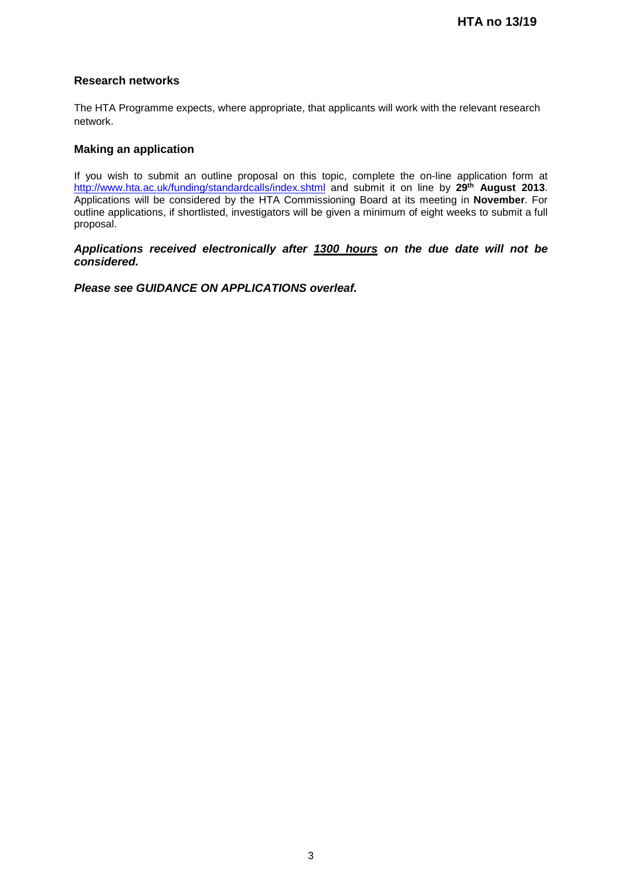## **Research networks**

The HTA Programme expects, where appropriate, that applicants will work with the relevant research network.

## **Making an application**

If you wish to submit an outline proposal on this topic, complete the on-line application form at http://www.hta.ac.uk/funding/standardcalls/index.shtml and submit it on line by **29th August 2013**. Applications will be considered by the HTA Commissioning Board at its meeting in **November**. For outline applications, if shortlisted, investigators will be given a minimum of eight weeks to submit a full proposal.

#### *Applications received electronically after 1300 hours on the due date will not be considered.*

*Please see GUIDANCE ON APPLICATIONS overleaf.*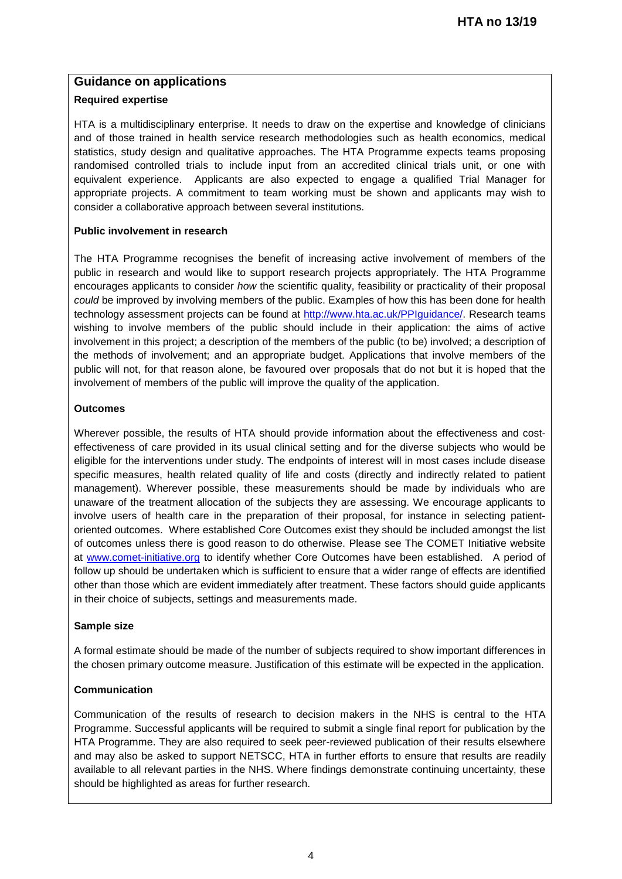## **Guidance on applications**

## **Required expertise**

HTA is a multidisciplinary enterprise. It needs to draw on the expertise and knowledge of clinicians and of those trained in health service research methodologies such as health economics, medical statistics, study design and qualitative approaches. The HTA Programme expects teams proposing randomised controlled trials to include input from an accredited clinical trials unit, or one with equivalent experience. Applicants are also expected to engage a qualified Trial Manager for appropriate projects. A commitment to team working must be shown and applicants may wish to consider a collaborative approach between several institutions.

## **Public involvement in research**

The HTA Programme recognises the benefit of increasing active involvement of members of the public in research and would like to support research projects appropriately. The HTA Programme encourages applicants to consider *how* the scientific quality, feasibility or practicality of their proposal *could* be improved by involving members of the public. Examples of how this has been done for health technology assessment projects can be found at [http://www.hta.ac.uk/PPIguidance/.](http://www.hta.ac.uk/PPIguidance/) Research teams wishing to involve members of the public should include in their application: the aims of active involvement in this project; a description of the members of the public (to be) involved; a description of the methods of involvement; and an appropriate budget. Applications that involve members of the public will not, for that reason alone, be favoured over proposals that do not but it is hoped that the involvement of members of the public will improve the quality of the application.

## **Outcomes**

Wherever possible, the results of HTA should provide information about the effectiveness and costeffectiveness of care provided in its usual clinical setting and for the diverse subjects who would be eligible for the interventions under study. The endpoints of interest will in most cases include disease specific measures, health related quality of life and costs (directly and indirectly related to patient management). Wherever possible, these measurements should be made by individuals who are unaware of the treatment allocation of the subjects they are assessing. We encourage applicants to involve users of health care in the preparation of their proposal, for instance in selecting patientoriented outcomes. Where established Core Outcomes exist they should be included amongst the list of outcomes unless there is good reason to do otherwise. Please see The COMET Initiative website at [www.comet-initiative.org](http://www.comet-initiative.org/) to identify whether Core Outcomes have been established. A period of follow up should be undertaken which is sufficient to ensure that a wider range of effects are identified other than those which are evident immediately after treatment. These factors should guide applicants in their choice of subjects, settings and measurements made.

#### **Sample size**

A formal estimate should be made of the number of subjects required to show important differences in the chosen primary outcome measure. Justification of this estimate will be expected in the application.

## **Communication**

Communication of the results of research to decision makers in the NHS is central to the HTA Programme. Successful applicants will be required to submit a single final report for publication by the HTA Programme. They are also required to seek peer-reviewed publication of their results elsewhere and may also be asked to support NETSCC, HTA in further efforts to ensure that results are readily available to all relevant parties in the NHS. Where findings demonstrate continuing uncertainty, these should be highlighted as areas for further research.